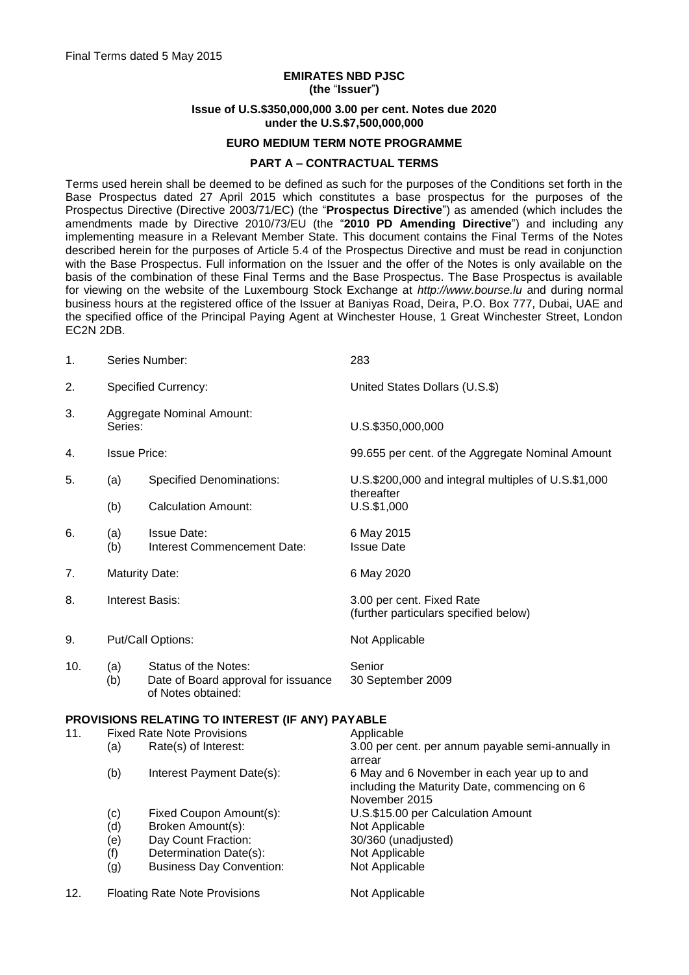# **EMIRATES NBD PJSC (the** "**Issuer**"**)**

#### **Issue of U.S.\$350,000,000 3.00 per cent. Notes due 2020 under the U.S.\$7,500,000,000**

#### **EURO MEDIUM TERM NOTE PROGRAMME**

#### **PART A – CONTRACTUAL TERMS**

Terms used herein shall be deemed to be defined as such for the purposes of the Conditions set forth in the Base Prospectus dated 27 April 2015 which constitutes a base prospectus for the purposes of the Prospectus Directive (Directive 2003/71/EC) (the "**Prospectus Directive**") as amended (which includes the amendments made by Directive 2010/73/EU (the "2010 PD Amending Directive") and including any implementing measure in a Relevant Member State. This document contains the Final Terms of the Notes described herein for the purposes of Article 5.4 of the Prospectus Directive and must be read in conjunction with the Base Prospectus. Full information on the Issuer and the offer of the Notes is only available on the basis of the combination of these Final Terms and the Base Prospectus. The Base Prospectus is available for viewing on the website of the Luxembourg Stock Exchange at *http://www.bourse.lu* and during normal business hours at the registered office of the Issuer at Baniyas Road, Deira, P.O. Box 777, Dubai, UAE and the specified office of the Principal Paying Agent at Winchester House, 1 Great Winchester Street, London EC2N 2DB.

| 1.  | Series Number:                              |                                                                                   | 283                                                                                                          |
|-----|---------------------------------------------|-----------------------------------------------------------------------------------|--------------------------------------------------------------------------------------------------------------|
| 2.  | Specified Currency:                         |                                                                                   | United States Dollars (U.S.\$)                                                                               |
| 3.  | <b>Aggregate Nominal Amount:</b><br>Series: |                                                                                   | U.S.\$350,000,000                                                                                            |
| 4.  | <b>Issue Price:</b>                         |                                                                                   | 99.655 per cent. of the Aggregate Nominal Amount                                                             |
| 5.  | (a)                                         | <b>Specified Denominations:</b>                                                   | U.S.\$200,000 and integral multiples of U.S.\$1,000<br>thereafter                                            |
|     | (b)                                         | <b>Calculation Amount:</b>                                                        | U.S.\$1,000                                                                                                  |
| 6.  | (a)<br>(b)                                  | <b>Issue Date:</b><br>Interest Commencement Date:                                 | 6 May 2015<br><b>Issue Date</b>                                                                              |
| 7.  | <b>Maturity Date:</b>                       |                                                                                   | 6 May 2020                                                                                                   |
| 8.  | <b>Interest Basis:</b>                      |                                                                                   | 3.00 per cent. Fixed Rate<br>(further particulars specified below)                                           |
| 9.  | Put/Call Options:                           |                                                                                   | Not Applicable                                                                                               |
| 10. | (a)<br>(b)                                  | Status of the Notes:<br>Date of Board approval for issuance<br>of Notes obtained: | Senior<br>30 September 2009                                                                                  |
|     |                                             | PROVISIONS RELATING TO INTEREST (IF ANY) PAYABLE                                  |                                                                                                              |
| 11. | <b>Fixed Rate Note Provisions</b>           |                                                                                   | Applicable                                                                                                   |
|     | (a)                                         | Rate(s) of Interest:                                                              | 3.00 per cent. per annum payable semi-annually in<br>arrear                                                  |
|     | (b)                                         | Interest Payment Date(s):                                                         | 6 May and 6 November in each year up to and<br>including the Maturity Date, commencing on 6<br>November 2015 |
|     | (c)                                         | Fixed Coupon Amount(s):                                                           | U.S.\$15.00 per Calculation Amount                                                                           |
|     | (d)                                         | Broken Amount(s):                                                                 | Not Applicable                                                                                               |
|     | (e)                                         | Day Count Fraction:                                                               | 30/360 (unadjusted)                                                                                          |
|     |                                             |                                                                                   |                                                                                                              |
|     | (f)                                         | Determination Date(s):                                                            | Not Applicable                                                                                               |
|     | (g)                                         | <b>Business Day Convention:</b>                                                   | Not Applicable                                                                                               |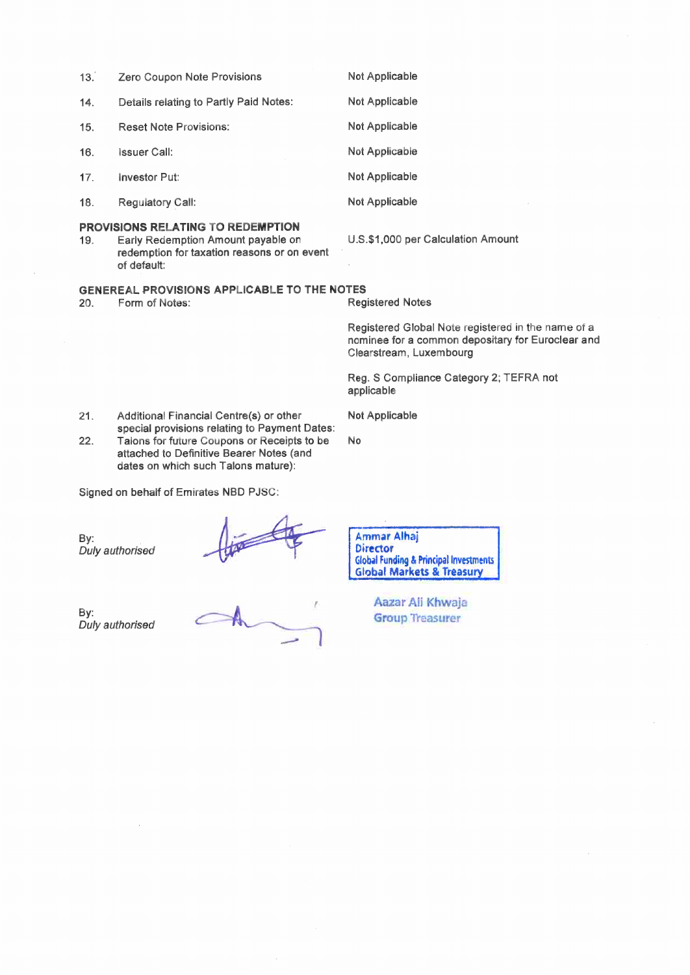| 13.                                                                                                    | <b>Zero Coupon Note Provisions</b>                                                                                                           | Not Applicable                                                                                                                     |  |  |  |
|--------------------------------------------------------------------------------------------------------|----------------------------------------------------------------------------------------------------------------------------------------------|------------------------------------------------------------------------------------------------------------------------------------|--|--|--|
| 14.                                                                                                    | Details relating to Partly Paid Notes:                                                                                                       | Not Applicable                                                                                                                     |  |  |  |
| 15.                                                                                                    | <b>Reset Note Provisions:</b>                                                                                                                | Not Applicable                                                                                                                     |  |  |  |
| 16.                                                                                                    | <b>Issuer Call:</b>                                                                                                                          | Not Applicable                                                                                                                     |  |  |  |
| 17.                                                                                                    | <b>Investor Put:</b>                                                                                                                         | <b>Not Applicable</b>                                                                                                              |  |  |  |
| 18.                                                                                                    | <b>Regulatory Call:</b>                                                                                                                      | Not Applicable                                                                                                                     |  |  |  |
| 19.                                                                                                    | <b>PROVISIONS RELATING TO REDEMPTION</b><br>Early Redemption Amount payable on<br>redemption for taxation reasons or on event<br>of default: | U.S.\$1,000 per Calculation Amount                                                                                                 |  |  |  |
| <b>GENEREAL PROVISIONS APPLICABLE TO THE NOTES</b><br>Form of Notes:<br><b>Registered Notes</b><br>20. |                                                                                                                                              |                                                                                                                                    |  |  |  |
|                                                                                                        |                                                                                                                                              | Registered Global Note registered in the name of a<br>nominee for a common depositary for Euroclear and<br>Clearstream, Luxembourg |  |  |  |

Reg. S Compliance Category 2; TEFRA not applicable

Additional Financial Centre(s) or other  $21.$ special provisions relating to Payment Dates:  $22.$ Talons for future Coupons or Receipts to be attached to Definitive Bearer Notes (and

dates on which such Talons mature):

Signed on behalf of Emirates NBD PJSC:

By:<br>Duly authorised

By: Duly authorised

**Ammar Alhaj Director** Global Funding & Principal Investments<br>Global Markets & Treasury

Not Applicable

 $\mathsf{No}$ 

Aazar Ali Khwaja **Group Treasurer**